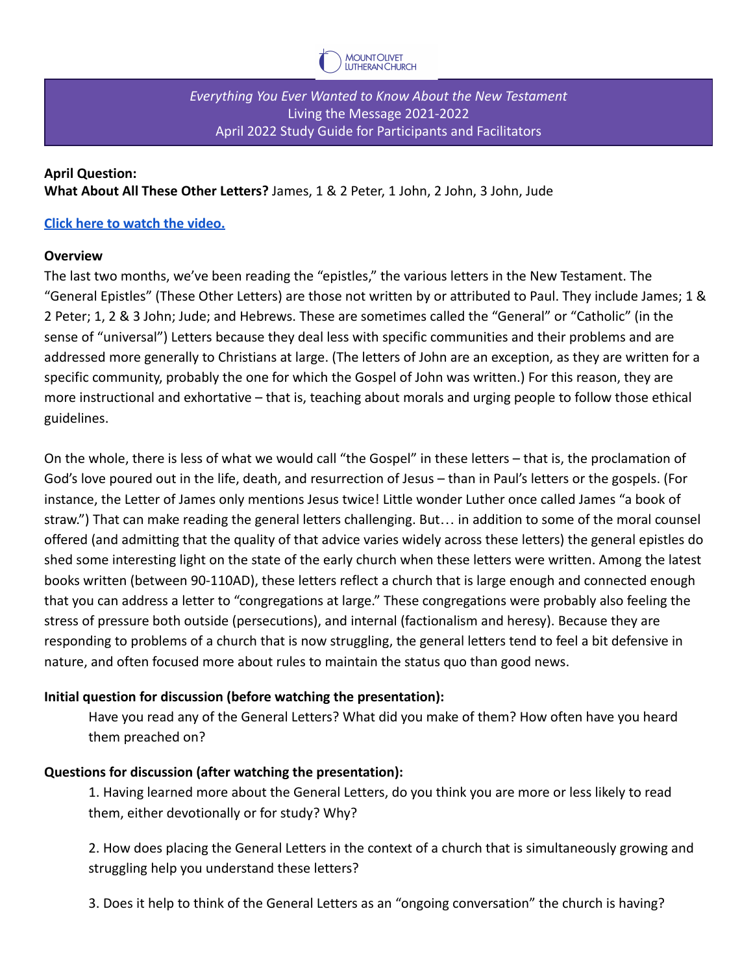

*Everything You Ever Wanted to Know About the New Testament* Living the Message 2021-2022 April 2022 Study Guide for Participants and Facilitators

#### **April Question:**

**What About All These Other Letters?** James, 1 & 2 Peter, 1 John, 2 John, 3 John, Jude

#### **[Click here to watch the video.](https://vimeo.com/695778367)**

#### **Overview**

The last two months, we've been reading the "epistles," the various letters in the New Testament. The "General Epistles" (These Other Letters) are those not written by or attributed to Paul. They include James; 1 & 2 Peter; 1, 2 & 3 John; Jude; and Hebrews. These are sometimes called the "General" or "Catholic" (in the sense of "universal") Letters because they deal less with specific communities and their problems and are addressed more generally to Christians at large. (The letters of John are an exception, as they are written for a specific community, probably the one for which the Gospel of John was written.) For this reason, they are more instructional and exhortative – that is, teaching about morals and urging people to follow those ethical guidelines.

On the whole, there is less of what we would call "the Gospel" in these letters – that is, the proclamation of God's love poured out in the life, death, and resurrection of Jesus – than in Paul's letters or the gospels. (For instance, the Letter of James only mentions Jesus twice! Little wonder Luther once called James "a book of straw.") That can make reading the general letters challenging. But… in addition to some of the moral counsel offered (and admitting that the quality of that advice varies widely across these letters) the general epistles do shed some interesting light on the state of the early church when these letters were written. Among the latest books written (between 90-110AD), these letters reflect a church that is large enough and connected enough that you can address a letter to "congregations at large." These congregations were probably also feeling the stress of pressure both outside (persecutions), and internal (factionalism and heresy). Because they are responding to problems of a church that is now struggling, the general letters tend to feel a bit defensive in nature, and often focused more about rules to maintain the status quo than good news.

## **Initial question for discussion (before watching the presentation):**

Have you read any of the General Letters? What did you make of them? How often have you heard them preached on?

## **Questions for discussion (after watching the presentation):**

1. Having learned more about the General Letters, do you think you are more or less likely to read them, either devotionally or for study? Why?

2. How does placing the General Letters in the context of a church that is simultaneously growing and struggling help you understand these letters?

3. Does it help to think of the General Letters as an "ongoing conversation" the church is having?